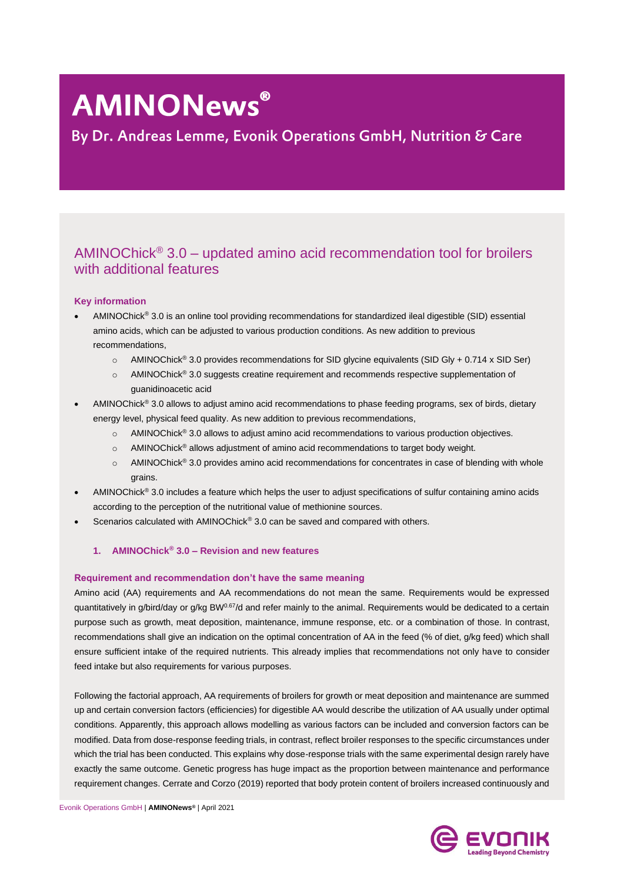# **AMINONews®**

By Dr. Andreas Lemme, Evonik Operations GmbH, Nutrition & Care

# AMINOChick<sup>®</sup> 3.0 – updated amino acid recommendation tool for broilers with additional features

# **Key information**

- AMINOChick® 3.0 is an online tool providing recommendations for standardized ileal digestible (SID) essential amino acids, which can be adjusted to various production conditions. As new addition to previous recommendations,
	- o AMINOChick® 3.0 provides recommendations for SID glycine equivalents (SID Gly + 0.714 x SID Ser)
	- o AMINOChick® 3.0 suggests creatine requirement and recommends respective supplementation of guanidinoacetic acid
- AMINOChick® 3.0 allows to adjust amino acid recommendations to phase feeding programs, sex of birds, dietary energy level, physical feed quality. As new addition to previous recommendations,
	- o AMINOChick® 3.0 allows to adjust amino acid recommendations to various production objectives.
	- o AMINOChick® allows adjustment of amino acid recommendations to target body weight.
	- o AMINOChick® 3.0 provides amino acid recommendations for concentrates in case of blending with whole grains.
- AMINOChick® 3.0 includes a feature which helps the user to adjust specifications of sulfur containing amino acids according to the perception of the nutritional value of methionine sources.
- Scenarios calculated with AMINOChick® 3.0 can be saved and compared with others.
	- **1. AMINOChick® 3.0 – Revision and new features**

# **Requirement and recommendation don't have the same meaning**

Amino acid (AA) requirements and AA recommendations do not mean the same. Requirements would be expressed quantitatively in g/bird/day or g/kg BW<sup>0.67</sup>/d and refer mainly to the animal. Requirements would be dedicated to a certain purpose such as growth, meat deposition, maintenance, immune response, etc. or a combination of those. In contrast, recommendations shall give an indication on the optimal concentration of AA in the feed (% of diet, g/kg feed) which shall ensure sufficient intake of the required nutrients. This already implies that recommendations not only have to consider feed intake but also requirements for various purposes.

Following the factorial approach, AA requirements of broilers for growth or meat deposition and maintenance are summed up and certain conversion factors (efficiencies) for digestible AA would describe the utilization of AA usually under optimal conditions. Apparently, this approach allows modelling as various factors can be included and conversion factors can be modified. Data from dose-response feeding trials, in contrast, reflect broiler responses to the specific circumstances under which the trial has been conducted. This explains why dose-response trials with the same experimental design rarely have exactly the same outcome. Genetic progress has huge impact as the proportion between maintenance and performance requirement changes. Cerrate and Corzo (2019) reported that body protein content of broilers increased continuously and

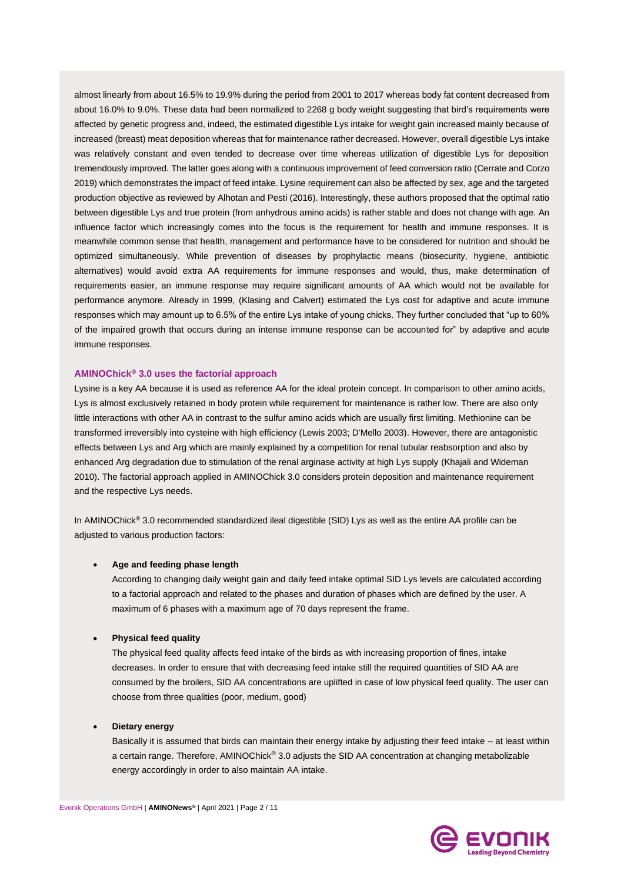almost linearly from about 16.5% to 19.9% during the period from 2001 to 2017 whereas body fat content decreased from about 16.0% to 9.0%. These data had been normalized to 2268 g body weight suggesting that bird's requirements were affected by genetic progress and, indeed, the estimated digestible Lys intake for weight gain increased mainly because of increased (breast) meat deposition whereas that for maintenance rather decreased. However, overall digestible Lys intake was relatively constant and even tended to decrease over time whereas utilization of digestible Lys for deposition tremendously improved. The latter goes along with a continuous improvement of feed conversion ratio (Cerrate and Corzo 2019) which demonstrates the impact of feed intake. Lysine requirement can also be affected by sex, age and the targeted production objective as reviewed by Alhotan and Pesti (2016). Interestingly, these authors proposed that the optimal ratio between digestible Lys and true protein (from anhydrous amino acids) is rather stable and does not change with age. An influence factor which increasingly comes into the focus is the requirement for health and immune responses. It is meanwhile common sense that health, management and performance have to be considered for nutrition and should be optimized simultaneously. While prevention of diseases by prophylactic means (biosecurity, hygiene, antibiotic alternatives) would avoid extra AA requirements for immune responses and would, thus, make determination of requirements easier, an immune response may require significant amounts of AA which would not be available for performance anymore. Already in 1999, (Klasing and Calvert) estimated the Lys cost for adaptive and acute immune responses which may amount up to 6.5% of the entire Lys intake of young chicks. They further concluded that "up to 60% of the impaired growth that occurs during an intense immune response can be accounted for" by adaptive and acute immune responses.

## **AMINOChick® 3.0 uses the factorial approach**

Lysine is a key AA because it is used as reference AA for the ideal protein concept. In comparison to other amino acids, Lys is almost exclusively retained in body protein while requirement for maintenance is rather low. There are also only little interactions with other AA in contrast to the sulfur amino acids which are usually first limiting. Methionine can be transformed irreversibly into cysteine with high efficiency (Lewis 2003; D'Mello 2003). However, there are antagonistic effects between Lys and Arg which are mainly explained by a competition for renal tubular reabsorption and also by enhanced Arg degradation due to stimulation of the renal arginase activity at high Lys supply (Khajali and Wideman 2010). The factorial approach applied in AMINOChick 3.0 considers protein deposition and maintenance requirement and the respective Lys needs.

In AMINOChick<sup>®</sup> 3.0 recommended standardized ileal digestible (SID) Lys as well as the entire AA profile can be adjusted to various production factors:

#### • **Age and feeding phase length**

According to changing daily weight gain and daily feed intake optimal SID Lys levels are calculated according to a factorial approach and related to the phases and duration of phases which are defined by the user. A maximum of 6 phases with a maximum age of 70 days represent the frame.

## • **Physical feed quality**

The physical feed quality affects feed intake of the birds as with increasing proportion of fines, intake decreases. In order to ensure that with decreasing feed intake still the required quantities of SID AA are consumed by the broilers, SID AA concentrations are uplifted in case of low physical feed quality. The user can choose from three qualities (poor, medium, good)

### • **Dietary energy**

Basically it is assumed that birds can maintain their energy intake by adjusting their feed intake – at least within a certain range. Therefore, AMINOChick® 3.0 adjusts the SID AA concentration at changing metabolizable energy accordingly in order to also maintain AA intake.

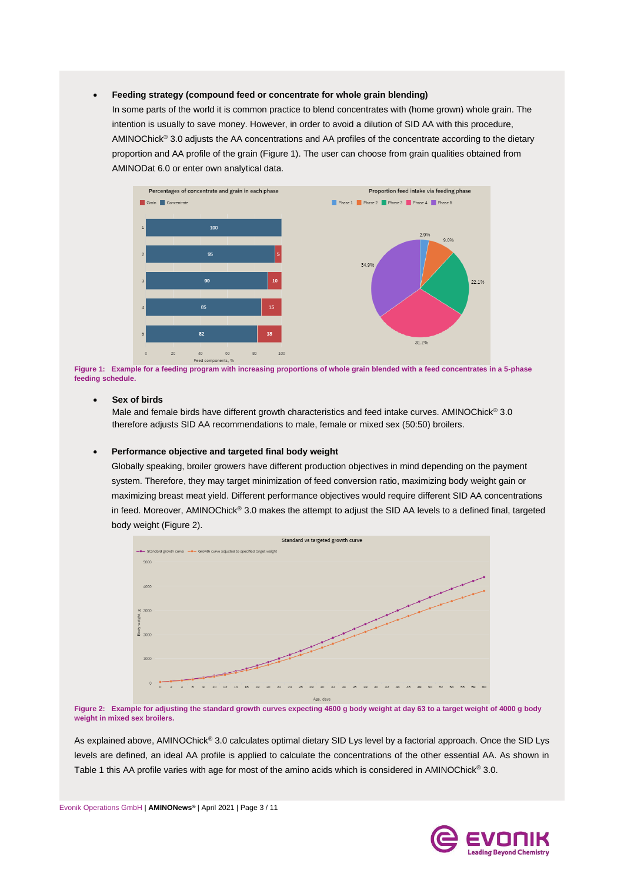#### • **Feeding strategy (compound feed or concentrate for whole grain blending)**

In some parts of the world it is common practice to blend concentrates with (home grown) whole grain. The intention is usually to save money. However, in order to avoid a dilution of SID AA with this procedure, AMINOChick® 3.0 adjusts the AA concentrations and AA profiles of the concentrate according to the dietary proportion and AA profile of the grain (Figure 1). The user can choose from grain qualities obtained from AMINODat 6.0 or enter own analytical data.



**Figure 1: Example for a feeding program with increasing proportions of whole grain blended with a feed concentrates in a 5-phase feeding schedule.**

#### • **Sex of birds**

Male and female birds have different growth characteristics and feed intake curves. AMINOChick<sup>®</sup> 3.0 therefore adjusts SID AA recommendations to male, female or mixed sex (50:50) broilers.

#### • **Performance objective and targeted final body weight**

Globally speaking, broiler growers have different production objectives in mind depending on the payment system. Therefore, they may target minimization of feed conversion ratio, maximizing body weight gain or maximizing breast meat yield. Different performance objectives would require different SID AA concentrations in feed. Moreover, AMINOChick® 3.0 makes the attempt to adjust the SID AA levels to a defined final, targeted body weight (Figure 2).



**Figure 2: Example for adjusting the standard growth curves expecting 4600 g body weight at day 63 to a target weight of 4000 g body weight in mixed sex broilers.**

As explained above, AMINOChick® 3.0 calculates optimal dietary SID Lys level by a factorial approach. Once the SID Lys levels are defined, an ideal AA profile is applied to calculate the concentrations of the other essential AA. As shown in Table 1 this AA profile varies with age for most of the amino acids which is considered in AMINOChick® 3.0.

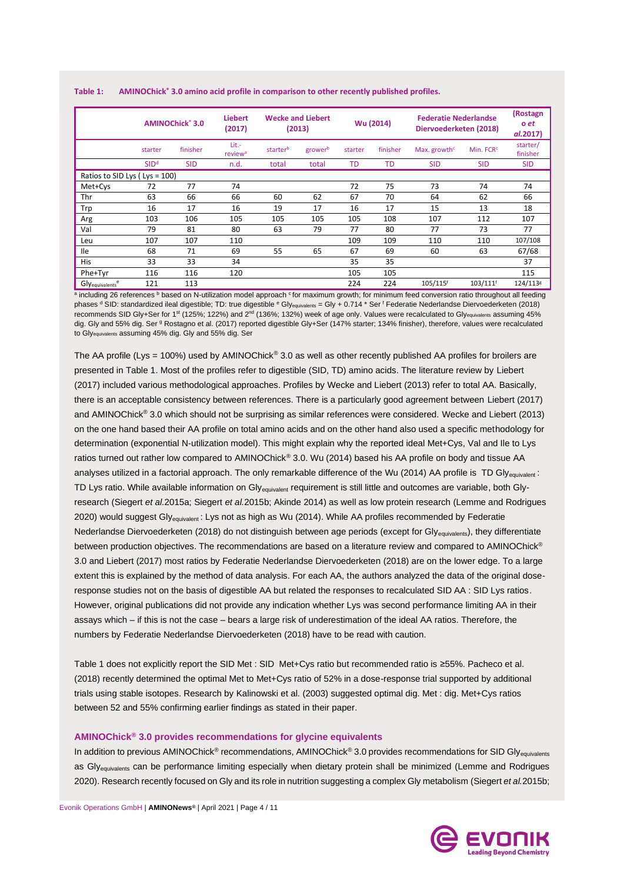| Table 1: |  |  |  | AMINOChick® 3.0 amino acid profile in comparison to other recently published profiles. |  |
|----------|--|--|--|----------------------------------------------------------------------------------------|--|
|----------|--|--|--|----------------------------------------------------------------------------------------|--|

|                                   | AMINOChick <sup>®</sup> 3.0 |            | <b>Liebert</b><br><b>Wecke and Liebert</b><br>(2017)<br>(2013) |          |         | Wu (2014) |          | <b>Federatie Nederlandse</b><br>Diervoederketen (2018) | (Rostagn<br>o et<br>al.2017) |                      |
|-----------------------------------|-----------------------------|------------|----------------------------------------------------------------|----------|---------|-----------|----------|--------------------------------------------------------|------------------------------|----------------------|
|                                   | starter                     | finisher   | Lit.-<br>review <sup>a</sup>                                   | starterb | growerb | starter   | finisher | Max. growth <sup>c</sup>                               | Min. FCR <sup>c</sup>        | starter/<br>finisher |
|                                   | SID <sup>d</sup>            | <b>SID</b> | n.d.                                                           | total    | total   | <b>TD</b> | TD       | <b>SID</b>                                             | <b>SID</b>                   | <b>SID</b>           |
| Ratios to SID Lys ( $Lys = 100$ ) |                             |            |                                                                |          |         |           |          |                                                        |                              |                      |
| Met+Cys                           | 72                          | 77         | 74                                                             |          |         | 72        | 75       | 73                                                     | 74                           | 74                   |
| Thr                               | 63                          | 66         | 66                                                             | 60       | 62      | 67        | 70       | 64                                                     | 62                           | 66                   |
| Trp                               | 16                          | 17         | 16                                                             | 19       | 17      | 16        | 17       | 15                                                     | 13                           | 18                   |
| Arg                               | 103                         | 106        | 105                                                            | 105      | 105     | 105       | 108      | 107                                                    | 112                          | 107                  |
| Val                               | 79                          | 81         | 80                                                             | 63       | 79      | 77        | 80       | 77                                                     | 73                           | 77                   |
| Leu                               | 107                         | 107        | 110                                                            |          |         | 109       | 109      | 110                                                    | 110                          | 107/108              |
| <b>Ile</b>                        | 68                          | 71         | 69                                                             | 55       | 65      | 67        | 69       | 60                                                     | 63                           | 67/68                |
| <b>His</b>                        | 33                          | 33         | 34                                                             |          |         | 35        | 35       |                                                        |                              | 37                   |
| Phe+Tyr                           | 116                         | 116        | 120                                                            |          |         | 105       | 105      |                                                        |                              | 115                  |
| Glyequivalents <sup>e</sup>       | 121                         | 113        |                                                                |          |         | 224       | 224      | 105/115f                                               | 103/111f                     | 124/1138             |

a including 26 references <sup>b</sup> based on N-utilization model approach <sup>c</sup> for maximum growth; for minimum feed conversion ratio throughout all feeding phases <sup>d</sup> SID: standardized ileal digestible; TD: true digestible <sup>e</sup> Gly<sub>equivalents</sub> = Gly + 0.714 \* Ser <sup>f</sup> Federatie Nederlandse Diervoederketen (2018) recommends SID Gly+Ser for 1<sup>st</sup> (125%; 122%) and 2<sup>nd</sup> (136%; 132%) week of age only. Values were recalculated to Gly<sub>equivalents</sub> assuming 45% dig. Gly and 55% dig. Ser <sup>g</sup> Rostagno et al. (2017) reported digestible Gly+Ser (147% starter; 134% finisher), therefore, values were recalculated to Glyequivalents assuming 45% dig. Gly and 55% dig. Ser

The AA profile (Lys = 100%) used by AMINOChick® 3.0 as well as other recently published AA profiles for broilers are presented in Table 1. Most of the profiles refer to digestible (SID, TD) amino acids. The literature review by Liebert (2017) included various methodological approaches. Profiles by Wecke and Liebert (2013) refer to total AA. Basically, there is an acceptable consistency between references. There is a particularly good agreement between Liebert (2017) and AMINOChick® 3.0 which should not be surprising as similar references were considered. Wecke and Liebert (2013) on the one hand based their AA profile on total amino acids and on the other hand also used a specific methodology for determination (exponential N-utilization model). This might explain why the reported ideal Met+Cys, Val and Ile to Lys ratios turned out rather low compared to AMINOChick® 3.0. Wu (2014) based his AA profile on body and tissue AA analyses utilized in a factorial approach. The only remarkable difference of the Wu (2014) AA profile is TD Glyequivalent : TD Lys ratio. While available information on Gly<sub>equivalent</sub> requirement is still little and outcomes are variable, both Glyresearch (Siegert *et al.*2015a; Siegert *et al.*2015b; Akinde 2014) as well as low protein research (Lemme and Rodrigues 2020) would suggest Gly<sub>equivalent</sub>: Lys not as high as Wu (2014). While AA profiles recommended by Federatie Nederlandse Diervoederketen (2018) do not distinguish between age periods (except for Gly<sub>equivalents</sub>), they differentiate between production objectives. The recommendations are based on a literature review and compared to AMINOChick<sup>®</sup> 3.0 and Liebert (2017) most ratios by Federatie Nederlandse Diervoederketen (2018) are on the lower edge. To a large extent this is explained by the method of data analysis. For each AA, the authors analyzed the data of the original doseresponse studies not on the basis of digestible AA but related the responses to recalculated SID AA : SID Lys ratios. However, original publications did not provide any indication whether Lys was second performance limiting AA in their assays which – if this is not the case – bears a large risk of underestimation of the ideal AA ratios. Therefore, the numbers by Federatie Nederlandse Diervoederketen (2018) have to be read with caution.

Table 1 does not explicitly report the SID Met : SID Met+Cys ratio but recommended ratio is ≥55%. Pacheco et al. (2018) recently determined the optimal Met to Met+Cys ratio of 52% in a dose-response trial supported by additional trials using stable isotopes. Research by Kalinowski et al. (2003) suggested optimal dig. Met : dig. Met+Cys ratios between 52 and 55% confirming earlier findings as stated in their paper.

#### **AMINOChick ® 3.0 provides recommendations for glycine equivalents**

In addition to previous AMINOChick<sup>®</sup> recommendations, AMINOChick<sup>®</sup> 3.0 provides recommendations for SID Gly<sub>equivalents</sub> as Gly<sub>equivalents</sub> can be performance limiting especially when dietary protein shall be minimized (Lemme and Rodrigues 2020). Research recently focused on Gly and its role in nutrition suggesting a complex Gly metabolism (Siegert *et al.*2015b;

Evonik Operations GmbH | **AMINONews®** | April 2021 | Page 4 / 11

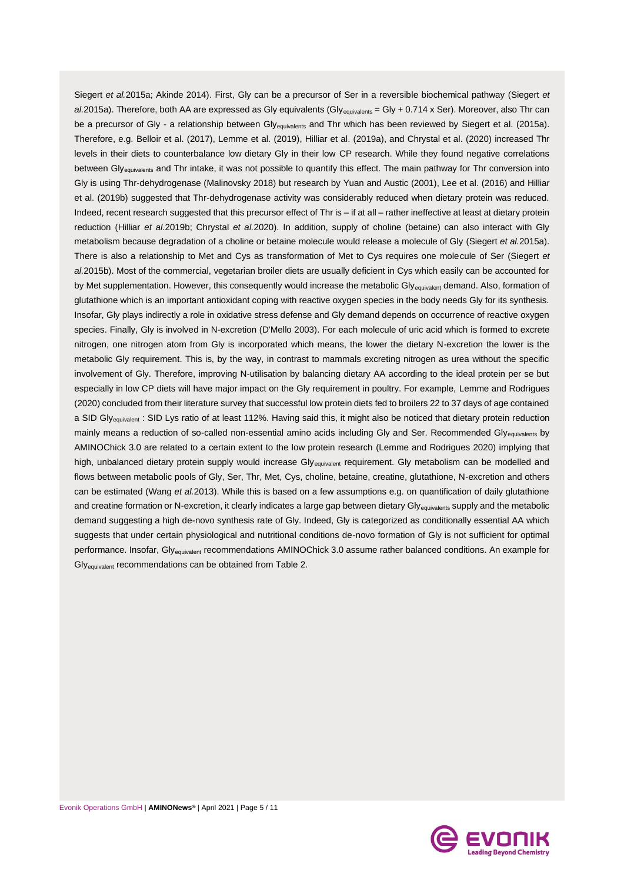Siegert *et al.*2015a; Akinde 2014). First, Gly can be a precursor of Ser in a reversible biochemical pathway (Siegert *et*  al.2015a). Therefore, both AA are expressed as Gly equivalents (Gly<sub>equivalents</sub> = Gly + 0.714 x Ser). Moreover, also Thr can be a precursor of Gly - a relationship between Gly<sub>equivalents</sub> and Thr which has been reviewed by Siegert et al. (2015a). Therefore, e.g. Belloir et al. (2017), Lemme et al. (2019), Hilliar et al. (2019a), and Chrystal et al. (2020) increased Thr levels in their diets to counterbalance low dietary Gly in their low CP research. While they found negative correlations between Gly<sub>equivalents</sub> and Thr intake, it was not possible to quantify this effect. The main pathway for Thr conversion into Gly is using Thr-dehydrogenase (Malinovsky 2018) but research by Yuan and Austic (2001), Lee et al. (2016) and Hilliar et al. (2019b) suggested that Thr-dehydrogenase activity was considerably reduced when dietary protein was reduced. Indeed, recent research suggested that this precursor effect of Thr is – if at all – rather ineffective at least at dietary protein reduction (Hilliar *et al.*2019b; Chrystal *et al.*2020). In addition, supply of choline (betaine) can also interact with Gly metabolism because degradation of a choline or betaine molecule would release a molecule of Gly (Siegert *et al.*2015a). There is also a relationship to Met and Cys as transformation of Met to Cys requires one molecule of Ser (Siegert *et al.*2015b). Most of the commercial, vegetarian broiler diets are usually deficient in Cys which easily can be accounted for by Met supplementation. However, this consequently would increase the metabolic Gly<sub>equivalent</sub> demand. Also, formation of glutathione which is an important antioxidant coping with reactive oxygen species in the body needs Gly for its synthesis. Insofar, Gly plays indirectly a role in oxidative stress defense and Gly demand depends on occurrence of reactive oxygen species. Finally, Gly is involved in N-excretion (D'Mello 2003). For each molecule of uric acid which is formed to excrete nitrogen, one nitrogen atom from Gly is incorporated which means, the lower the dietary N-excretion the lower is the metabolic Gly requirement. This is, by the way, in contrast to mammals excreting nitrogen as urea without the specific involvement of Gly. Therefore, improving N-utilisation by balancing dietary AA according to the ideal protein per se but especially in low CP diets will have major impact on the Gly requirement in poultry. For example, Lemme and Rodrigues (2020) concluded from their literature survey that successful low protein diets fed to broilers 22 to 37 days of age contained a SID Gly<sub>equivalent</sub>: SID Lys ratio of at least 112%. Having said this, it might also be noticed that dietary protein reduction mainly means a reduction of so-called non-essential amino acids including Gly and Ser. Recommended Glyequivalents by AMINOChick 3.0 are related to a certain extent to the low protein research (Lemme and Rodrigues 2020) implying that high, unbalanced dietary protein supply would increase Gly<sub>equivalent</sub> requirement. Gly metabolism can be modelled and flows between metabolic pools of Gly, Ser, Thr, Met, Cys, choline, betaine, creatine, glutathione, N-excretion and others can be estimated (Wang *et al.*2013). While this is based on a few assumptions e.g. on quantification of daily glutathione and creatine formation or N-excretion, it clearly indicates a large gap between dietary Gly<sub>equivalents</sub> supply and the metabolic demand suggesting a high de-novo synthesis rate of Gly. Indeed, Gly is categorized as conditionally essential AA which suggests that under certain physiological and nutritional conditions de-novo formation of Gly is not sufficient for optimal performance. Insofar, Gly<sub>equivalent</sub> recommendations AMINOChick 3.0 assume rather balanced conditions. An example for Glyequivalent recommendations can be obtained from Table 2.

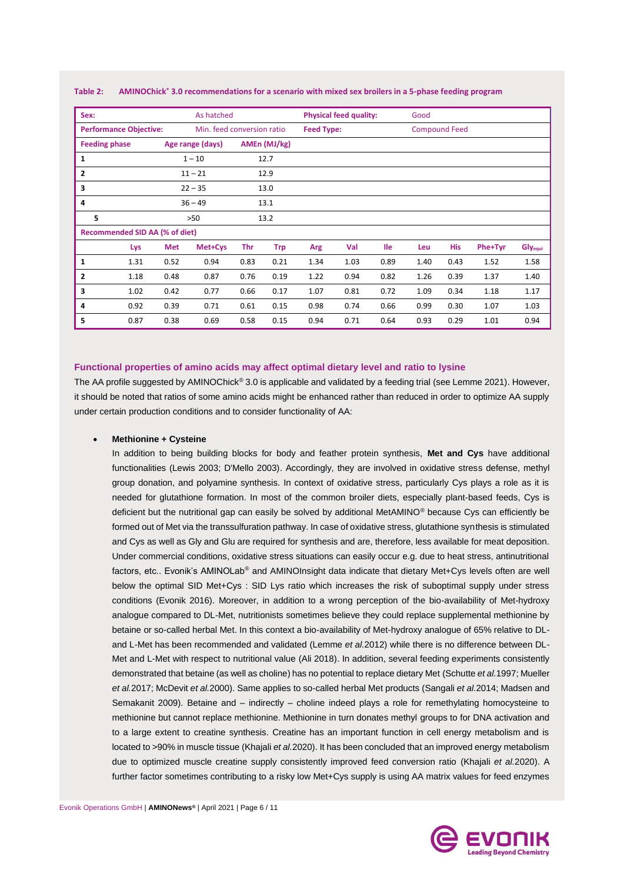| Sex:                                  | As hatched |            |                            |              | <b>Physical feed quality:</b> |                   |      | Good       |                      |            |         |         |
|---------------------------------------|------------|------------|----------------------------|--------------|-------------------------------|-------------------|------|------------|----------------------|------------|---------|---------|
| <b>Performance Objective:</b>         |            |            | Min. feed conversion ratio |              |                               | <b>Feed Type:</b> |      |            | <b>Compound Feed</b> |            |         |         |
| <b>Feeding phase</b>                  |            |            | Age range (days)           | AMEn (MJ/kg) |                               |                   |      |            |                      |            |         |         |
| $\mathbf{1}$                          |            | $1 - 10$   |                            | 12.7         |                               |                   |      |            |                      |            |         |         |
| $\overline{2}$                        |            | $11 - 21$  |                            | 12.9         |                               |                   |      |            |                      |            |         |         |
| 3                                     |            | $22 - 35$  |                            |              | 13.0                          |                   |      |            |                      |            |         |         |
| 4                                     |            | $36 - 49$  |                            |              | 13.1                          |                   |      |            |                      |            |         |         |
| 5                                     |            | >50        |                            |              | 13.2                          |                   |      |            |                      |            |         |         |
| <b>Recommended SID AA (% of diet)</b> |            |            |                            |              |                               |                   |      |            |                      |            |         |         |
|                                       | Lys        | <b>Met</b> | Met+Cys                    | Thr          | <b>Trp</b>                    | Arg               | Val  | <b>Ile</b> | Leu                  | <b>His</b> | Phe+Tyr | Glyequi |
| 1                                     | 1.31       | 0.52       | 0.94                       | 0.83         | 0.21                          | 1.34              | 1.03 | 0.89       | 1.40                 | 0.43       | 1.52    | 1.58    |
| $\overline{2}$                        | 1.18       | 0.48       | 0.87                       | 0.76         | 0.19                          | 1.22              | 0.94 | 0.82       | 1.26                 | 0.39       | 1.37    | 1.40    |
| 3                                     | 1.02       | 0.42       | 0.77                       | 0.66         | 0.17                          | 1.07              | 0.81 | 0.72       | 1.09                 | 0.34       | 1.18    | 1.17    |
| 4                                     | 0.92       | 0.39       | 0.71                       | 0.61         | 0.15                          | 0.98              | 0.74 | 0.66       | 0.99                 | 0.30       | 1.07    | 1.03    |
| 5                                     | 0.87       | 0.38       | 0.69                       | 0.58         | 0.15                          | 0.94              | 0.71 | 0.64       | 0.93                 | 0.29       | 1.01    | 0.94    |

**Table 2: AMINOChick ® 3.0 recommendations for a scenario with mixed sex broilers in a 5-phase feeding program**

#### **Functional properties of amino acids may affect optimal dietary level and ratio to lysine**

The AA profile suggested by AMINOChick® 3.0 is applicable and validated by a feeding trial (see Lemme 2021). However, it should be noted that ratios of some amino acids might be enhanced rather than reduced in order to optimize AA supply under certain production conditions and to consider functionality of AA:

#### • **Methionine + Cysteine**

In addition to being building blocks for body and feather protein synthesis, **Met and Cys** have additional functionalities (Lewis 2003; D'Mello 2003). Accordingly, they are involved in oxidative stress defense, methyl group donation, and polyamine synthesis. In context of oxidative stress, particularly Cys plays a role as it is needed for glutathione formation. In most of the common broiler diets, especially plant-based feeds, Cys is deficient but the nutritional gap can easily be solved by additional MetAMINO® because Cys can efficiently be formed out of Met via the transsulfuration pathway. In case of oxidative stress, glutathione synthesis is stimulated and Cys as well as Gly and Glu are required for synthesis and are, therefore, less available for meat deposition. Under commercial conditions, oxidative stress situations can easily occur e.g. due to heat stress, antinutritional factors, etc.. Evonik's AMINOLab® and AMINOInsight data indicate that dietary Met+Cys levels often are well below the optimal SID Met+Cys : SID Lys ratio which increases the risk of suboptimal supply under stress conditions (Evonik 2016). Moreover, in addition to a wrong perception of the bio-availability of Met-hydroxy analogue compared to DL-Met, nutritionists sometimes believe they could replace supplemental methionine by betaine or so-called herbal Met. In this context a bio-availability of Met-hydroxy analogue of 65% relative to DLand L-Met has been recommended and validated (Lemme *et al.*2012) while there is no difference between DL-Met and L-Met with respect to nutritional value (Ali 2018). In addition, several feeding experiments consistently demonstrated that betaine (as well as choline) has no potential to replace dietary Met (Schutte *et al.*1997; Mueller *et al.*2017; McDevit *et al.*2000). Same applies to so-called herbal Met products (Sangali *et al.*2014; Madsen and Semakanit 2009). Betaine and – indirectly – choline indeed plays a role for remethylating homocysteine to methionine but cannot replace methionine. Methionine in turn donates methyl groups to for DNA activation and to a large extent to creatine synthesis. Creatine has an important function in cell energy metabolism and is located to >90% in muscle tissue (Khajali *et al.*2020). It has been concluded that an improved energy metabolism due to optimized muscle creatine supply consistently improved feed conversion ratio (Khajali *et al.*2020). A further factor sometimes contributing to a risky low Met+Cys supply is using AA matrix values for feed enzymes

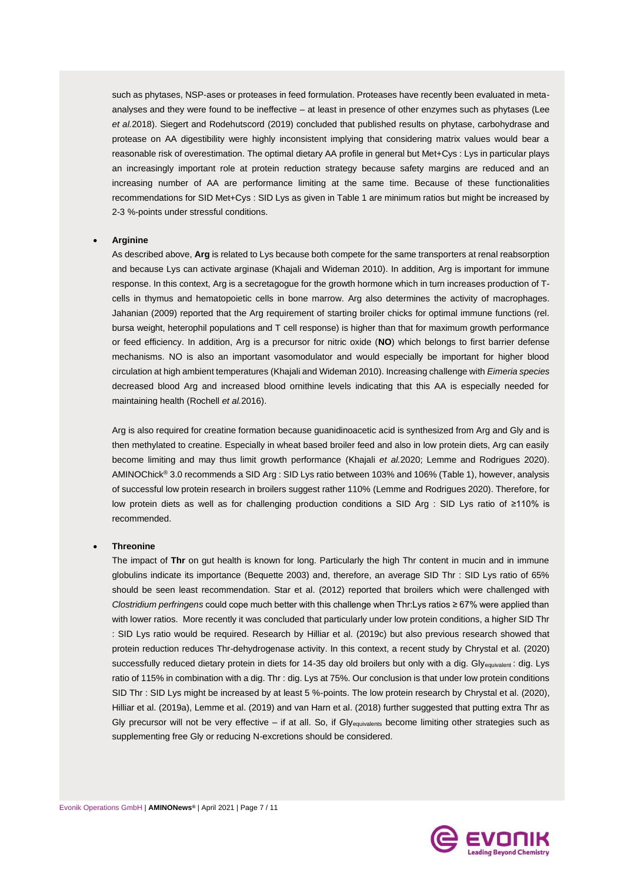such as phytases, NSP-ases or proteases in feed formulation. Proteases have recently been evaluated in metaanalyses and they were found to be ineffective – at least in presence of other enzymes such as phytases (Lee *et al.*2018). Siegert and Rodehutscord (2019) concluded that published results on phytase, carbohydrase and protease on AA digestibility were highly inconsistent implying that considering matrix values would bear a reasonable risk of overestimation. The optimal dietary AA profile in general but Met+Cys : Lys in particular plays an increasingly important role at protein reduction strategy because safety margins are reduced and an increasing number of AA are performance limiting at the same time. Because of these functionalities recommendations for SID Met+Cys : SID Lys as given in Table 1 are minimum ratios but might be increased by 2-3 %-points under stressful conditions.

#### • **Arginine**

As described above, **Arg** is related to Lys because both compete for the same transporters at renal reabsorption and because Lys can activate arginase (Khajali and Wideman 2010). In addition, Arg is important for immune response. In this context, Arg is a secretagogue for the growth hormone which in turn increases production of Tcells in thymus and hematopoietic cells in bone marrow. Arg also determines the activity of macrophages. Jahanian (2009) reported that the Arg requirement of starting broiler chicks for optimal immune functions (rel. bursa weight, heterophil populations and T cell response) is higher than that for maximum growth performance or feed efficiency. In addition, Arg is a precursor for nitric oxide (**NO**) which belongs to first barrier defense mechanisms. NO is also an important vasomodulator and would especially be important for higher blood circulation at high ambient temperatures (Khajali and Wideman 2010). Increasing challenge with *Eimeria species* decreased blood Arg and increased blood ornithine levels indicating that this AA is especially needed for maintaining health (Rochell *et al.*2016).

Arg is also required for creatine formation because guanidinoacetic acid is synthesized from Arg and Gly and is then methylated to creatine. Especially in wheat based broiler feed and also in low protein diets, Arg can easily become limiting and may thus limit growth performance (Khajali *et al.*2020; Lemme and Rodrigues 2020). AMINOChick® 3.0 recommends a SID Arg : SID Lys ratio between 103% and 106% (Table 1), however, analysis of successful low protein research in broilers suggest rather 110% (Lemme and Rodrigues 2020). Therefore, for low protein diets as well as for challenging production conditions a SID Arg : SID Lys ratio of ≥110% is recommended.

#### • **Threonine**

The impact of **Thr** on gut health is known for long. Particularly the high Thr content in mucin and in immune globulins indicate its importance (Bequette 2003) and, therefore, an average SID Thr : SID Lys ratio of 65% should be seen least recommendation. Star et al. (2012) reported that broilers which were challenged with *Clostridium perfringens* could cope much better with this challenge when Thr:Lys ratios ≥ 67% were applied than with lower ratios. More recently it was concluded that particularly under low protein conditions, a higher SID Thr : SID Lys ratio would be required. Research by Hilliar et al. (2019c) but also previous research showed that protein reduction reduces Thr-dehydrogenase activity. In this context, a recent study by Chrystal et al. (2020) successfully reduced dietary protein in diets for 14-35 day old broilers but only with a dig. Gly<sub>equivalent</sub>: dig. Lys ratio of 115% in combination with a dig. Thr : dig. Lys at 75%. Our conclusion is that under low protein conditions SID Thr : SID Lys might be increased by at least 5 %-points. The low protein research by Chrystal et al. (2020), Hilliar et al. (2019a), Lemme et al. (2019) and van Harn et al. (2018) further suggested that putting extra Thr as Gly precursor will not be very effective – if at all. So, if Gly<sub>equivalents</sub> become limiting other strategies such as supplementing free Gly or reducing N-excretions should be considered.

ading Beyond Chemistry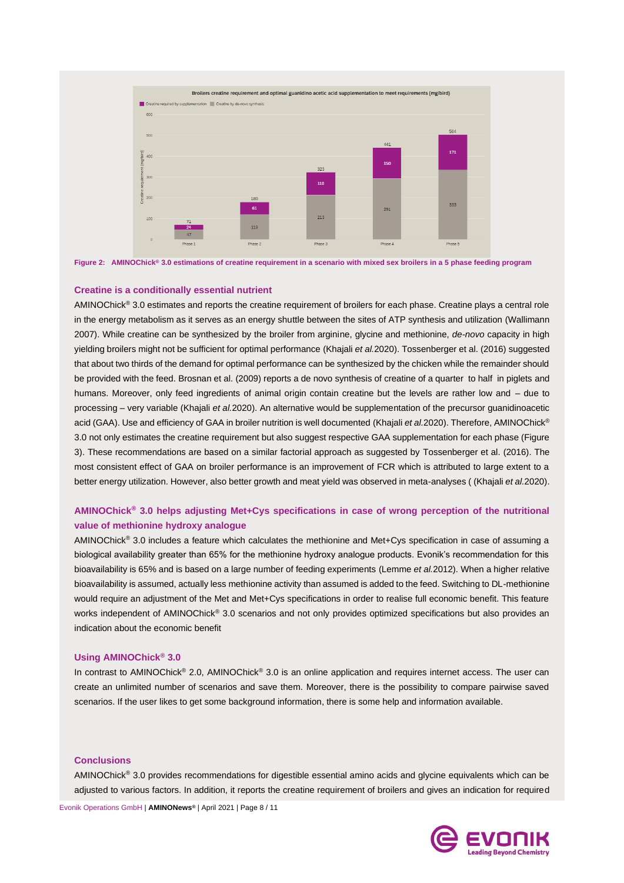



#### **Creatine is a conditionally essential nutrient**

AMINOChick® 3.0 estimates and reports the creatine requirement of broilers for each phase. Creatine plays a central role in the energy metabolism as it serves as an energy shuttle between the sites of ATP synthesis and utilization (Wallimann 2007). While creatine can be synthesized by the broiler from arginine, glycine and methionine, *de-novo* capacity in high yielding broilers might not be sufficient for optimal performance (Khajali *et al.*2020). Tossenberger et al. (2016) suggested that about two thirds of the demand for optimal performance can be synthesized by the chicken while the remainder should be provided with the feed. Brosnan et al. (2009) reports a de novo synthesis of creatine of a quarter to half in piglets and humans. Moreover, only feed ingredients of animal origin contain creatine but the levels are rather low and – due to processing – very variable (Khajali *et al.*2020). An alternative would be supplementation of the precursor guanidinoacetic acid (GAA). Use and efficiency of GAA in broiler nutrition is well documented (Khajali *et al.2020*). Therefore, AMINOChick<sup>®</sup> 3.0 not only estimates the creatine requirement but also suggest respective GAA supplementation for each phase (Figure 3). These recommendations are based on a similar factorial approach as suggested by Tossenberger et al. (2016). The most consistent effect of GAA on broiler performance is an improvement of FCR which is attributed to large extent to a better energy utilization. However, also better growth and meat yield was observed in meta-analyses ( (Khajali *et al.*2020).

# **AMINOChick® 3.0 helps adjusting Met+Cys specifications in case of wrong perception of the nutritional value of methionine hydroxy analogue**

AMINOChick® 3.0 includes a feature which calculates the methionine and Met+Cys specification in case of assuming a biological availability greater than 65% for the methionine hydroxy analogue products. Evonik's recommendation for this bioavailability is 65% and is based on a large number of feeding experiments (Lemme *et al.*2012). When a higher relative bioavailability is assumed, actually less methionine activity than assumed is added to the feed. Switching to DL-methionine would require an adjustment of the Met and Met+Cys specifications in order to realise full economic benefit. This feature works independent of AMINOChick® 3.0 scenarios and not only provides optimized specifications but also provides an indication about the economic benefit

#### **Using AMINOChick® 3.0**

In contrast to AMINOChick® 2.0, AMINOChick® 3.0 is an online application and requires internet access. The user can create an unlimited number of scenarios and save them. Moreover, there is the possibility to compare pairwise saved scenarios. If the user likes to get some background information, there is some help and information available.

#### **Conclusions**

AMINOChick® 3.0 provides recommendations for digestible essential amino acids and glycine equivalents which can be adjusted to various factors. In addition, it reports the creatine requirement of broilers and gives an indication for required

Evonik Operations GmbH | **AMINONews®** | April 2021 | Page 8 / 11

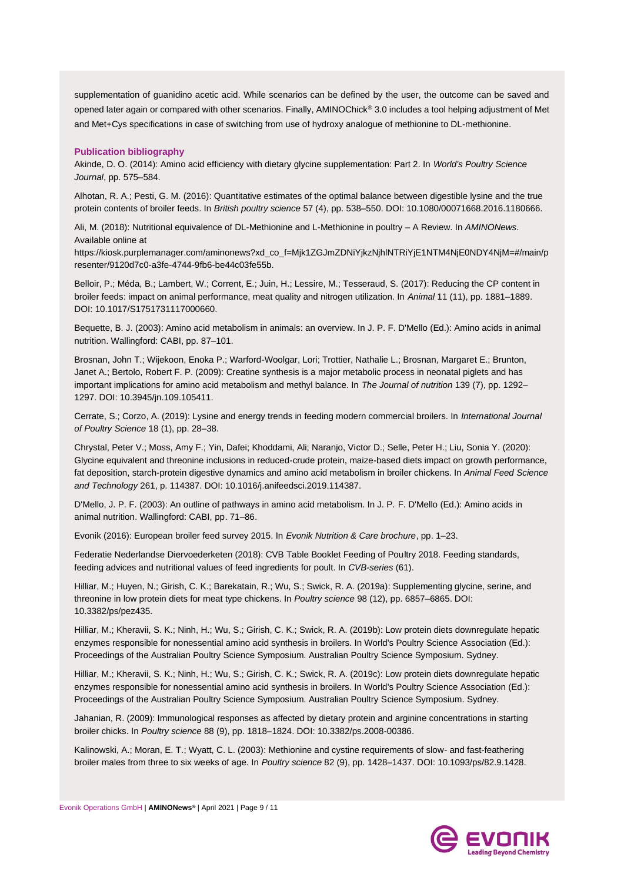supplementation of guanidino acetic acid. While scenarios can be defined by the user, the outcome can be saved and opened later again or compared with other scenarios. Finally, AMINOChick® 3.0 includes a tool helping adjustment of Met and Met+Cys specifications in case of switching from use of hydroxy analogue of methionine to DL-methionine.

# **Publication bibliography**

Akinde, D. O. (2014): Amino acid efficiency with dietary glycine supplementation: Part 2. In *World's Poultry Science Journal*, pp. 575–584.

Alhotan, R. A.; Pesti, G. M. (2016): Quantitative estimates of the optimal balance between digestible lysine and the true protein contents of broiler feeds. In *British poultry science* 57 (4), pp. 538–550. DOI: 10.1080/00071668.2016.1180666.

Ali, M. (2018): Nutritional equivalence of DL-Methionine and L-Methionine in poultry – A Review. In *AMINONews*. Available online at

https://kiosk.purplemanager.com/aminonews?xd\_co\_f=Mjk1ZGJmZDNiYjkzNjhlNTRiYjE1NTM4NjE0NDY4NjM=#/main/p resenter/9120d7c0-a3fe-4744-9fb6-be44c03fe55b.

Belloir, P.; Méda, B.; Lambert, W.; Corrent, E.; Juin, H.; Lessire, M.; Tesseraud, S. (2017): Reducing the CP content in broiler feeds: impact on animal performance, meat quality and nitrogen utilization. In *Animal* 11 (11), pp. 1881–1889. DOI: 10.1017/S1751731117000660.

Bequette, B. J. (2003): Amino acid metabolism in animals: an overview. In J. P. F. D'Mello (Ed.): Amino acids in animal nutrition. Wallingford: CABI, pp. 87–101.

Brosnan, John T.; Wijekoon, Enoka P.; Warford-Woolgar, Lori; Trottier, Nathalie L.; Brosnan, Margaret E.; Brunton, Janet A.; Bertolo, Robert F. P. (2009): Creatine synthesis is a major metabolic process in neonatal piglets and has important implications for amino acid metabolism and methyl balance. In *The Journal of nutrition* 139 (7), pp. 1292– 1297. DOI: 10.3945/jn.109.105411.

Cerrate, S.; Corzo, A. (2019): Lysine and energy trends in feeding modern commercial broilers. In *International Journal of Poultry Science* 18 (1), pp. 28–38.

Chrystal, Peter V.; Moss, Amy F.; Yin, Dafei; Khoddami, Ali; Naranjo, Victor D.; Selle, Peter H.; Liu, Sonia Y. (2020): Glycine equivalent and threonine inclusions in reduced-crude protein, maize-based diets impact on growth performance, fat deposition, starch-protein digestive dynamics and amino acid metabolism in broiler chickens. In *Animal Feed Science and Technology* 261, p. 114387. DOI: 10.1016/j.anifeedsci.2019.114387.

D'Mello, J. P. F. (2003): An outline of pathways in amino acid metabolism. In J. P. F. D'Mello (Ed.): Amino acids in animal nutrition. Wallingford: CABI, pp. 71–86.

Evonik (2016): European broiler feed survey 2015. In *Evonik Nutrition & Care brochure*, pp. 1–23.

Federatie Nederlandse Diervoederketen (2018): CVB Table Booklet Feeding of Poultry 2018. Feeding standards, feeding advices and nutritional values of feed ingredients for poult. In *CVB-series* (61).

Hilliar, M.; Huyen, N.; Girish, C. K.; Barekatain, R.; Wu, S.; Swick, R. A. (2019a): Supplementing glycine, serine, and threonine in low protein diets for meat type chickens. In *Poultry science* 98 (12), pp. 6857–6865. DOI: 10.3382/ps/pez435.

Hilliar, M.; Kheravii, S. K.; Ninh, H.; Wu, S.; Girish, C. K.; Swick, R. A. (2019b): Low protein diets downregulate hepatic enzymes responsible for nonessential amino acid synthesis in broilers. In World's Poultry Science Association (Ed.): Proceedings of the Australian Poultry Science Symposium. Australian Poultry Science Symposium. Sydney.

Hilliar, M.; Kheravii, S. K.; Ninh, H.; Wu, S.; Girish, C. K.; Swick, R. A. (2019c): Low protein diets downregulate hepatic enzymes responsible for nonessential amino acid synthesis in broilers. In World's Poultry Science Association (Ed.): Proceedings of the Australian Poultry Science Symposium. Australian Poultry Science Symposium. Sydney.

Jahanian, R. (2009): Immunological responses as affected by dietary protein and arginine concentrations in starting broiler chicks. In *Poultry science* 88 (9), pp. 1818–1824. DOI: 10.3382/ps.2008-00386.

Kalinowski, A.; Moran, E. T.; Wyatt, C. L. (2003): Methionine and cystine requirements of slow- and fast-feathering broiler males from three to six weeks of age. In *Poultry science* 82 (9), pp. 1428–1437. DOI: 10.1093/ps/82.9.1428.

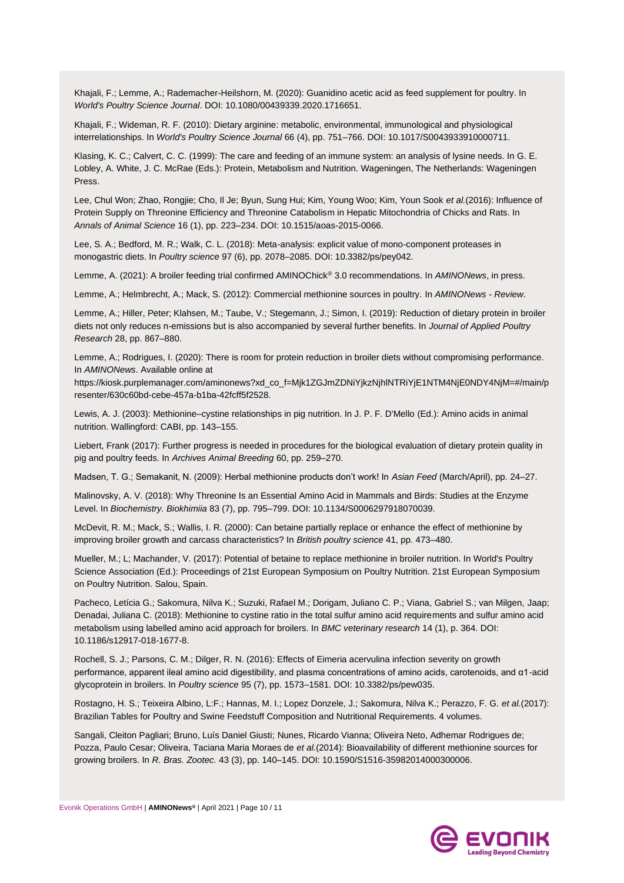Khajali, F.; Lemme, A.; Rademacher-Heilshorn, M. (2020): Guanidino acetic acid as feed supplement for poultry. In *World's Poultry Science Journal*. DOI: 10.1080/00439339.2020.1716651.

Khajali, F.; Wideman, R. F. (2010): Dietary arginine: metabolic, environmental, immunological and physiological interrelationships. In *World's Poultry Science Journal* 66 (4), pp. 751–766. DOI: 10.1017/S0043933910000711.

Klasing, K. C.; Calvert, C. C. (1999): The care and feeding of an immune system: an analysis of lysine needs. In G. E. Lobley, A. White, J. C. McRae (Eds.): Protein, Metabolism and Nutrition. Wageningen, The Netherlands: Wageningen Press.

Lee, Chul Won; Zhao, Rongjie; Cho, Il Je; Byun, Sung Hui; Kim, Young Woo; Kim, Youn Sook *et al.*(2016): Influence of Protein Supply on Threonine Efficiency and Threonine Catabolism in Hepatic Mitochondria of Chicks and Rats. In *Annals of Animal Science* 16 (1), pp. 223–234. DOI: 10.1515/aoas-2015-0066.

Lee, S. A.; Bedford, M. R.; Walk, C. L. (2018): Meta-analysis: explicit value of mono-component proteases in monogastric diets. In *Poultry science* 97 (6), pp. 2078–2085. DOI: 10.3382/ps/pey042.

Lemme, A. (2021): A broiler feeding trial confirmed AMINOChick® 3.0 recommendations. In *AMINONews*, in press.

Lemme, A.; Helmbrecht, A.; Mack, S. (2012): Commercial methionine sources in poultry. In *AMINONews - Review*.

Lemme, A.; Hiller, Peter; Klahsen, M.; Taube, V.; Stegemann, J.; Simon, I. (2019): Reduction of dietary protein in broiler diets not only reduces n-emissions but is also accompanied by several further benefits. In *Journal of Applied Poultry Research* 28, pp. 867–880.

Lemme, A.; Rodrigues, I. (2020): There is room for protein reduction in broiler diets without compromising performance. In *AMINONews*. Available online at

https://kiosk.purplemanager.com/aminonews?xd\_co\_f=Mjk1ZGJmZDNiYjkzNjhlNTRiYjE1NTM4NjE0NDY4NjM=#/main/p resenter/630c60bd-cebe-457a-b1ba-42fcff5f2528.

Lewis, A. J. (2003): Methionine–cystine relationships in pig nutrition. In J. P. F. D'Mello (Ed.): Amino acids in animal nutrition. Wallingford: CABI, pp. 143–155.

Liebert, Frank (2017): Further progress is needed in procedures for the biological evaluation of dietary protein quality in pig and poultry feeds. In *Archives Animal Breeding* 60, pp. 259–270.

Madsen, T. G.; Semakanit, N. (2009): Herbal methionine products don't work! In *Asian Feed* (March/April), pp. 24–27.

Malinovsky, A. V. (2018): Why Threonine Is an Essential Amino Acid in Mammals and Birds: Studies at the Enzyme Level. In *Biochemistry. Biokhimiia* 83 (7), pp. 795–799. DOI: 10.1134/S0006297918070039.

McDevit, R. M.; Mack, S.; Wallis, I. R. (2000): Can betaine partially replace or enhance the effect of methionine by improving broiler growth and carcass characteristics? In *British poultry science* 41, pp. 473–480.

Mueller, M.; L; Machander, V. (2017): Potential of betaine to replace methionine in broiler nutrition. In World's Poultry Science Association (Ed.): Proceedings of 21st European Symposium on Poultry Nutrition. 21st European Symposium on Poultry Nutrition. Salou, Spain.

Pacheco, Letícia G.; Sakomura, Nilva K.; Suzuki, Rafael M.; Dorigam, Juliano C. P.; Viana, Gabriel S.; van Milgen, Jaap; Denadai, Juliana C. (2018): Methionine to cystine ratio in the total sulfur amino acid requirements and sulfur amino acid metabolism using labelled amino acid approach for broilers. In *BMC veterinary research* 14 (1), p. 364. DOI: 10.1186/s12917-018-1677-8.

Rochell, S. J.; Parsons, C. M.; Dilger, R. N. (2016): Effects of Eimeria acervulina infection severity on growth performance, apparent ileal amino acid digestibility, and plasma concentrations of amino acids, carotenoids, and α1-acid glycoprotein in broilers. In *Poultry science* 95 (7), pp. 1573–1581. DOI: 10.3382/ps/pew035.

Rostagno, H. S.; Teixeira Albino, L:F.; Hannas, M. I.; Lopez Donzele, J.; Sakomura, Nilva K.; Perazzo, F. G. *et al.*(2017): Brazilian Tables for Poultry and Swine Feedstuff Composition and Nutritional Requirements. 4 volumes.

Sangali, Cleiton Pagliari; Bruno, Luís Daniel Giusti; Nunes, Ricardo Vianna; Oliveira Neto, Adhemar Rodrigues de; Pozza, Paulo Cesar; Oliveira, Taciana Maria Moraes de *et al.*(2014): Bioavailability of different methionine sources for growing broilers. In *R. Bras. Zootec.* 43 (3), pp. 140–145. DOI: 10.1590/S1516-35982014000300006.